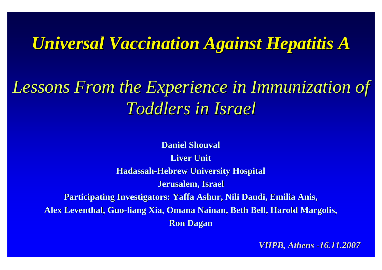# *Universal Vaccination Against Hepatitis A Universal Vaccination Against Hepatitis A*

# Lessons From the Experience in Immunization of *Toddlers in Israel Toddlers in Israel*

**Daniel Shouval Liver Unit Hadassah Hadassah-Hebrew University Hospital Hebrew University Hospital Jerusalem, Israel Jerusalem, Israel Participating Investigators: Yaffa Ashur, Nili Daudi, Emilia Anis, Alex Leventhal, Guo-liang Xia, Omana Nainan, Beth Bell, Harold Margolis, Ron Dagan Ron Dagan**

*VHPB, Athens -16.11.2007*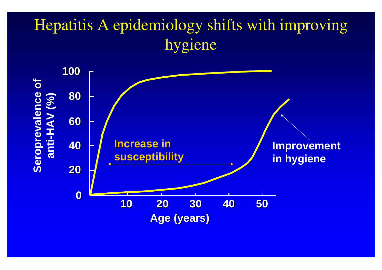# Hepatitis A epidemiology shifts with improving hygiene

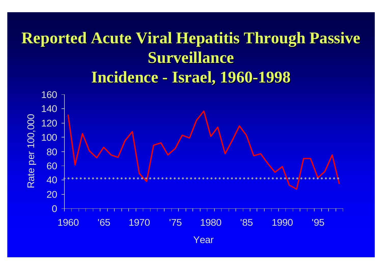#### **Reported Acute Viral Hepatitis Through Passive Surveillance Incidence -Israel, 1960 Israel, 1960 -1998**

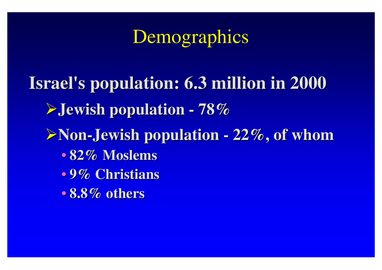# Demographics

**Israel's population: 6.3 million in 2000 Israel's population: 6.3 million in 2000** ¾**Jewish population Jewish population - 78%** ¾**Non -Jewish population Jewish population - 22%, of whom 22%, of whom** • • **82% Moslems 82% Moslems** • • **9% Christians 9% Christians** •**8.8% others 8.8% others**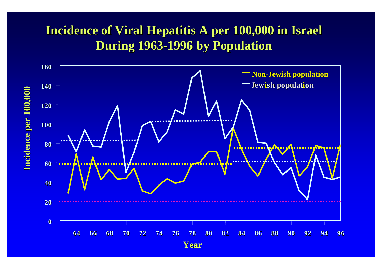#### **Incidence of Viral Hepatitis A per 100,000 in Israel During 1963 During 1963-1996 by Population 1996 by Population**

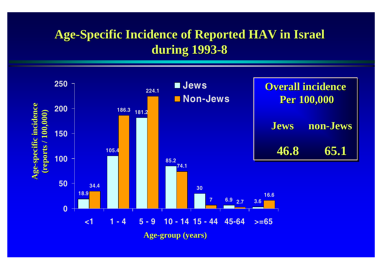#### Age-Specific Incidence of Reported HAV in Israel **during 1993 during 1993-8**

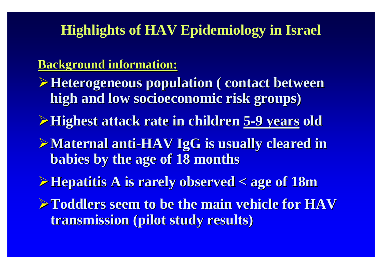### **Highlights of HAV Epidemiology in Israel**

#### **Background information: Background information:**

- **≻Heterogeneous population ( contact between high and low socioeconomic risk groups) high and low socioeconomic risk groups)**
- ¾**Highest attack rate in children Highest attack rate in children 5 -9 years 9 years old**
- ¾**Maternal anti Maternal anti -HAV IgG is usually cleared in is usually cleared in babies by the age of 18 months babies by the age of 18 months**
- ¾**Hepatitis A is rarely observed < age of 18m Hepatitis A is rarely observed < age of 18m**
- ¾**Toddlers seem to be the main vehicle for HAV Toddlers seem to be the main vehicle for HAV transmission (pilot study results)**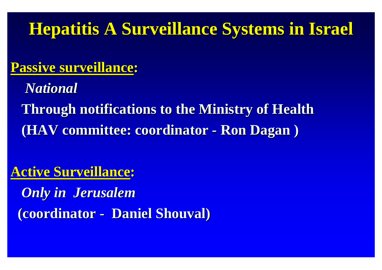# **Hepatitis A Surveillance Systems in Israel Hepatitis A Surveillance Systems in Israel**

### **Passive surveillance Passive surveillance :**

*National National*

**Through notifications to the Ministry of Health Through notifications to the Ministry of Health (HAV committee: coordinator - Ron Dagan )** 

### **Active Surveillance Active Surveillance :**

*Only in Jerusalem Only in Jerusalem* **(coordinator - Daniel Shouval)**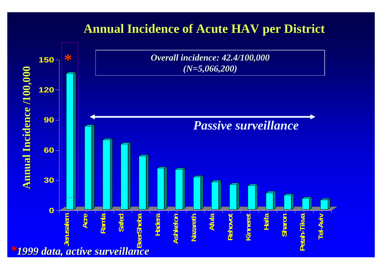#### **Annual Incidence of Acute HAV per District Annual Incidence of Acute HAV per District**

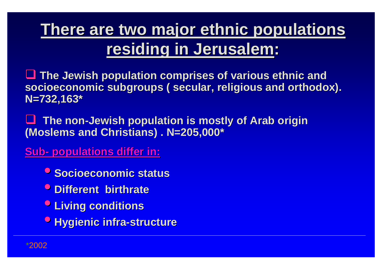# **There are two major ethnic populations residing in Jerusalem residing in Jerusalem :**

**The Jewish population comprises of various ethnic and** socioeconomic subgroups ( secular, religious and orthodox). **N=732,163\* N=732,163\***

 $\Box$  **The non The non -Jewish population is mostly of Arab origin Jewish population is mostly of Arab origin (Moslems and Christians) . N=205,000\* (Moslems and Christians) . N=205,000\*** 

**Sub- -**<u>- populations differ in:</u>

- **Socioeconomic status**
- **Different birthrate**
- •**Living conditions Living conditions**
- **<sup>O</sup> Hygienic infra-structure**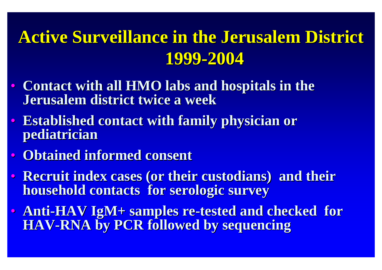# **Active Surveillance in the Jerusalem District 1999 -2004**

- Contact with all **HMO** labs and hospitals in the **Jerusalem district twice a week Jerusalem district twice a week**
- $\bullet$  . **Established contact with family physician or Established contact with family physician or pediatrician pediatrician**
- **Obtained informed consent**
- $\bullet$  : **Recruit index cases (or their custodians) and their household contacts for serologic survey household contacts for serologic survey**
- Anti-HAV IgM+ samples re-tested and checked for **HAV -RNA by PCR followed by sequencing RNA by PCR followed by sequencing**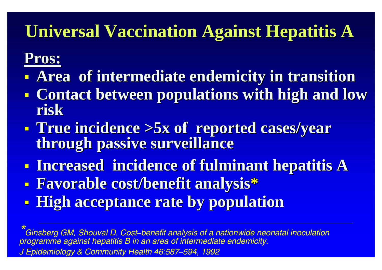# **Universal Vaccination Against Hepatitis A Universal Vaccination Against Hepatitis A**

# **Pros:**

- e<br>Santa **Area of intermediate endemicity in transition**
- e<br>Santa **Contact between populations with high and low Contact between populations with high and low risk**
- e<br>Santa **True incidence >5x of reported cases/year True incidence >5x of reported cases/year through passive surveillance through passive surveillance**
- e<br>Se **Increased incidence of Increased incidence of fulminant fulminant hepatitis A hepatitis A**
- e<br>Se **Favorable cost/benefit analysis Favorable cost/benefit analysis \***
- e<br>S **High acceptance rate by population**

*\*Ginsberg GM, Shouval D. Cost–benefit analysis of a nationwide neonatal inoculation programme against hepatitis B in an area of intermediate endemicity. J Epidemiology & Community Health 46:587–594, 1992*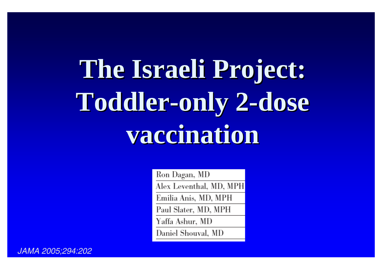# **The Israeli Project: The Israeli Project: Toddler Toddler -only 2 -dose vaccination vaccination**

Ron Dagan, MD Alex Leventhal, MD, MPH Emilia Anis, MD, MPH Paul Slater, MD, MPH Yaffa Ashur, MD Daniel Shouval, MD

*JAMA 2005;294:202*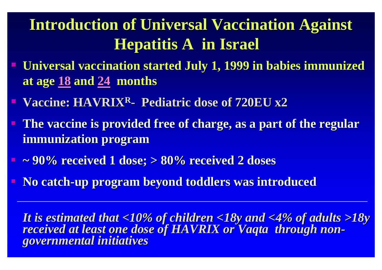# **Introduction of Universal Vaccination Against Hepatitis A in Israel Hepatitis A in Israel**

- **Universal vaccination started July 1, 1999 in babies immunized at age 18 and 24 months**
- **E** Vaccine: HAVRIX<sup>R</sup>- Pediatric dose of 720EU x2
- **The vaccine is provided free of charge, as a part of the regular The vaccine is provided free of charge, as a part of the regular immunization program immunization program**
- **~ 90% received 1 dose; > 80% received 2 doses ~ 90% received 1 dose; > 80% received 2 doses**
- **No catch-up program beyond toddlers was introduced**

It is estimated that <10% of children <18y and <4% of adults >18y<br>received at least one dose of HAVRIX or Vaqta through non-<br>governmental initiatives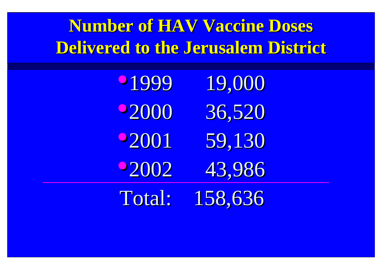**Number of HAV Vaccine Doses Delivered to the Jerusalem District** 

| 01999       | 19,000  |  |
|-------------|---------|--|
| 92000       | 36,520  |  |
| <b>2001</b> | 59,130  |  |
| <b>2002</b> | 43,986  |  |
| Total:      | 158,636 |  |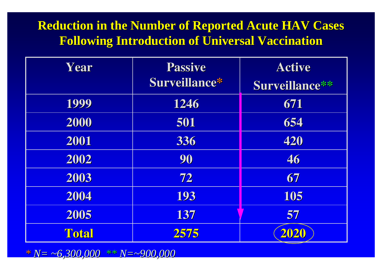#### **Reduction in the Number of Reported Acute HAV Cases Following Introduction of Universal Vaccination Following Introduction of Universal Vaccination**

| Year         | <b>Passive</b> | <b>Active</b>  |
|--------------|----------------|----------------|
|              | Surveillance*  | Surveillance** |
| 1999         | 1246           | 671            |
| 2000         | 501            | 654            |
| 2001         | 336            | 420            |
| 2002         | 90             | 46             |
| 2003         | 72             | 67             |
| 2004         | 193            | 105            |
| 2005         | 137            | 57             |
| <b>Total</b> | 2575           | 2020           |

*\* \*N= ~ 6,300,000 6,300,000 \*\* N=~900,000 900,000*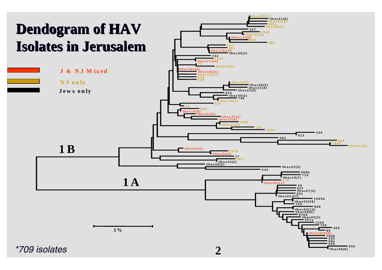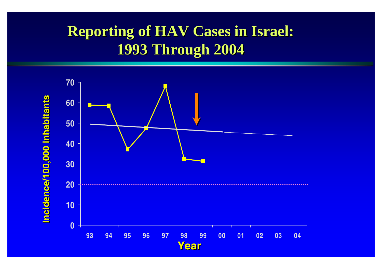## **Reporting of HAV Cases in Israel: 1993 Through 2004 1993 Through 2004**

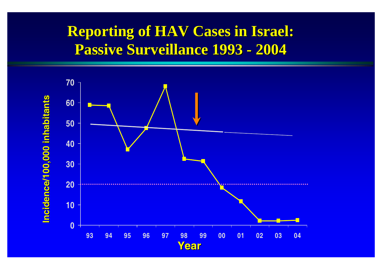# **Reporting of HAV Cases in Israel:** Passive Surveillance 1993 - 2004

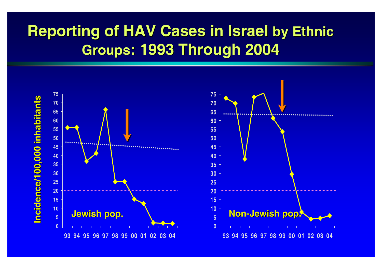# **Reporting of HAV Cases in Israel by Ethnic Groups: 1993 Through 2004 : 1993 Through 2004**

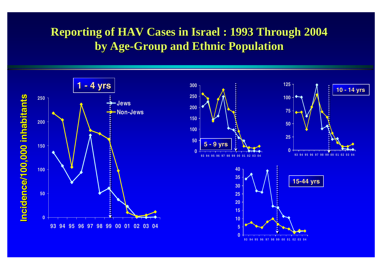#### **Reporting of HAV Cases in Israel : 1993 Through 2004 by Age-Group and Ethnic Population**



 **94 95 96 97 98 99 00 01 02 03 04**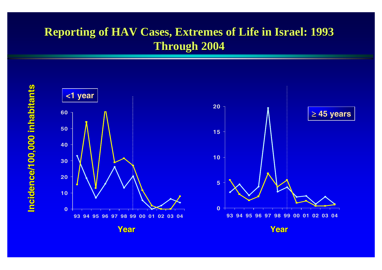#### **Reporting of HAV Cases, Extremes of Life in Israel: 1993 Through 2004 Through 2004**

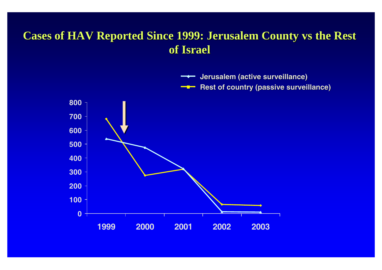#### **Cases of HAV Reported Since 1999: Jerusalem County vs the Rest of Israel of Israel**

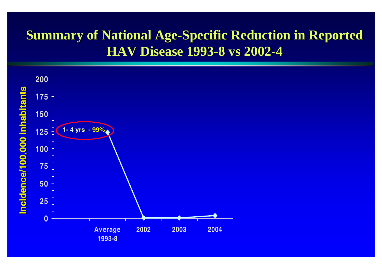### **Summary of National Age-Specific Reduction in Reported HAV Disease 1993 HAV Disease 1993 -8 vs 2002 8 vs 2002- 4**

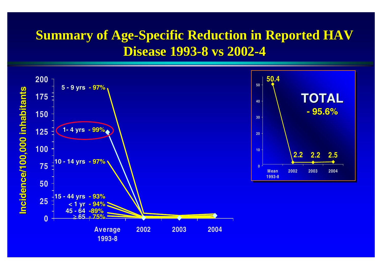### **Summary of Age-Specific Reduction in Reported HAV Disease 1993 Disease 1993-8 vs 2002 8 vs 2002- 4**

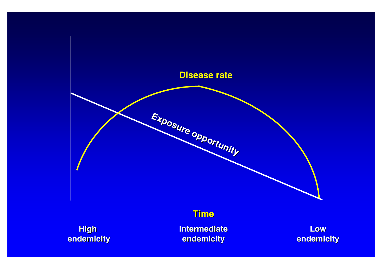

**High endemicity endemicity**

**Intermediate Intermediate endemicity endemicity**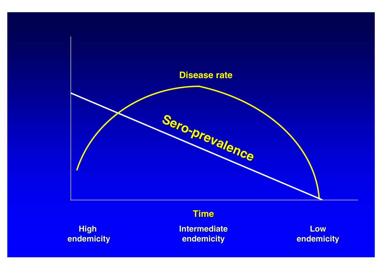

**High endemicity endemicity**

**Intermediate Intermediate endemicity endemicity**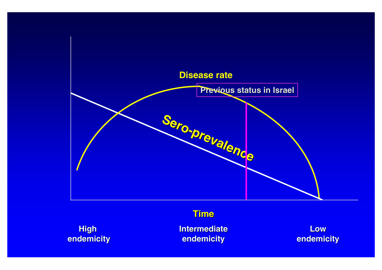

**High endemicity endemicity**

**Intermediate Intermediate endemicity endemicity**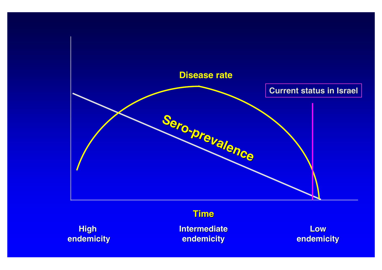

**High endemicity endemicity**

**Intermediate Intermediate endemicity endemicity**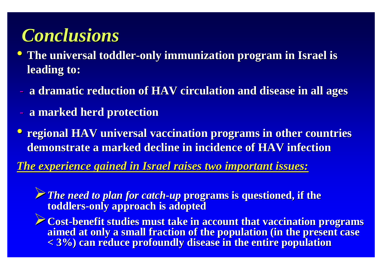# *Conclusions Conclusions*

- •**The universal toddler The universal toddler-only immunization program in Israel is only immunization program in Israel is leading to: leading to:**
- **a dramatic reduction of HAV circulation and disease in all ages**
- **-a marked herd protection a marked herd protection**
- **<sup>•</sup>** regional HAV universal vaccination programs in other countries **demonstrate a marked decline in incidence of HAV infection demonstrate a marked decline in incidence of HAV infection**

*The experience gained in Israel raises two important issues: The experience gained in Israel raises two important issues:*

**★** The need to plan for catch-up programs is questioned, if the **toddlers toddlers-only approach is adopted only approach is adopted**

 $\blacktriangleright$  Cost-benefit studies must take in account that vaccination programs **aimed at only a small fraction of the population (in the present case < 3%) can reduce profoundly disease in the entire population < 3%) can reduce profoundly disease in the entire population**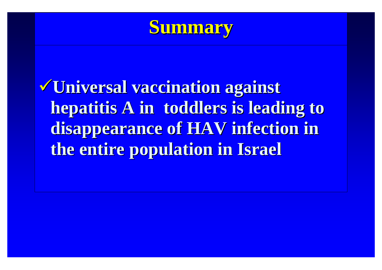

<sup>9</sup>**Universal vaccination against Universal vaccination against hepatitis A in toddlers is leading to hepatitis A in toddlers is leading to disappearance of HAV infection in the entire population in Israel the entire population in Israel**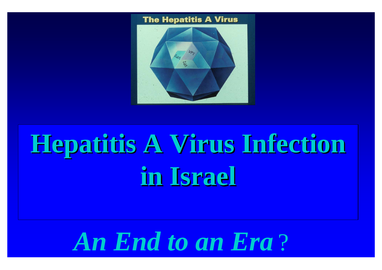#### **The Hepatitis A Virus**



# **Hepatitis A Virus Infection in Israel in Israel**

# *An End to an Era*  ?